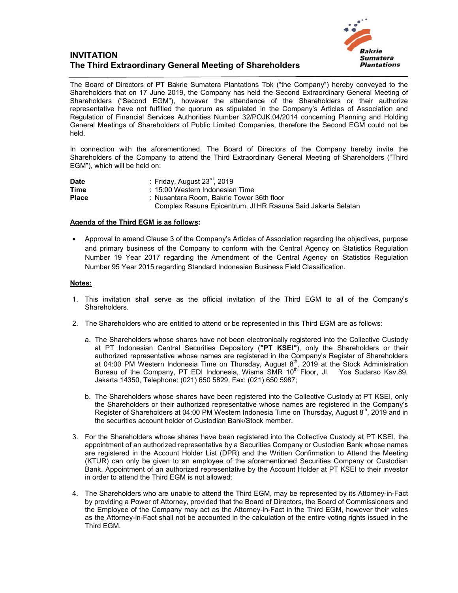## **INVITATION The Third Extraordinary General Meeting of Shareholders**



The Board of Directors of PT Bakrie Sumatera Plantations Tbk ("the Company") hereby conveyed to the Shareholders that on 17 June 2019, the Company has held the Second Extraordinary General Meeting of Shareholders ("Second EGM"), however the attendance of the Shareholders or their authorize representative have not fulfilled the quorum as stipulated in the Company's Articles of Association and Regulation of Financial Services Authorities Number 32/POJK.04/2014 concerning Planning and Holding General Meetings of Shareholders of Public Limited Companies, therefore the Second EGM could not be held.

In connection with the aforementioned, The Board of Directors of the Company hereby invite the Shareholders of the Company to attend the Third Extraordinary General Meeting of Shareholders ("Third EGM"), which will be held on:

| Date         | : Friday, August 23 $^{\text{rd}}$ , 2019                    |
|--------------|--------------------------------------------------------------|
| Time         | : 15:00 Western Indonesian Time                              |
| <b>Place</b> | : Nusantara Room, Bakrie Tower 36th floor                    |
|              | Complex Rasuna Epicentrum, JI HR Rasuna Said Jakarta Selatan |

## **Agenda of the Third EGM is as follows:**

 Approval to amend Clause 3 of the Company's Articles of Association regarding the objectives, purpose and primary business of the Company to conform with the Central Agency on Statistics Regulation Number 19 Year 2017 regarding the Amendment of the Central Agency on Statistics Regulation Number 95 Year 2015 regarding Standard Indonesian Business Field Classification.

## **Notes:**

- 1. This invitation shall serve as the official invitation of the Third EGM to all of the Company's Shareholders.
- 2. The Shareholders who are entitled to attend or be represented in this Third EGM are as follows:
	- a. The Shareholders whose shares have not been electronically registered into the Collective Custody at PT Indonesian Central Securities Depository (**"PT KSEI"**), only the Shareholders or their authorized representative whose names are registered in the Company's Register of Shareholders at 04:00 PM Western Indonesia Time on Thursday, August  $8<sup>th</sup>$ , 2019 at the Stock Administration Bureau of the Company, PT EDI Indonesia, Wisma SMR 10<sup>th</sup> Floor, Jl. Yos Sudarso Kav.89, Jakarta 14350, Telephone: (021) 650 5829, Fax: (021) 650 5987;
	- b. The Shareholders whose shares have been registered into the Collective Custody at PT KSEI, only the Shareholders or their authorized representative whose names are registered in the Company's Register of Shareholders at 04:00 PM Western Indonesia Time on Thursday, August  $8<sup>th</sup>$ , 2019 and in the securities account holder of Custodian Bank/Stock member.
- 3. For the Shareholders whose shares have been registered into the Collective Custody at PT KSEI, the appointment of an authorized representative by a Securities Company or Custodian Bank whose names are registered in the Account Holder List (DPR) and the Written Confirmation to Attend the Meeting (KTUR) can only be given to an employee of the aforementioned Securities Company or Custodian Bank. Appointment of an authorized representative by the Account Holder at PT KSEI to their investor in order to attend the Third EGM is not allowed;
- 4. The Shareholders who are unable to attend the Third EGM, may be represented by its Attorney-in-Fact by providing a Power of Attorney, provided that the Board of Directors, the Board of Commissioners and the Employee of the Company may act as the Attorney-in-Fact in the Third EGM, however their votes as the Attorney-in-Fact shall not be accounted in the calculation of the entire voting rights issued in the Third EGM.